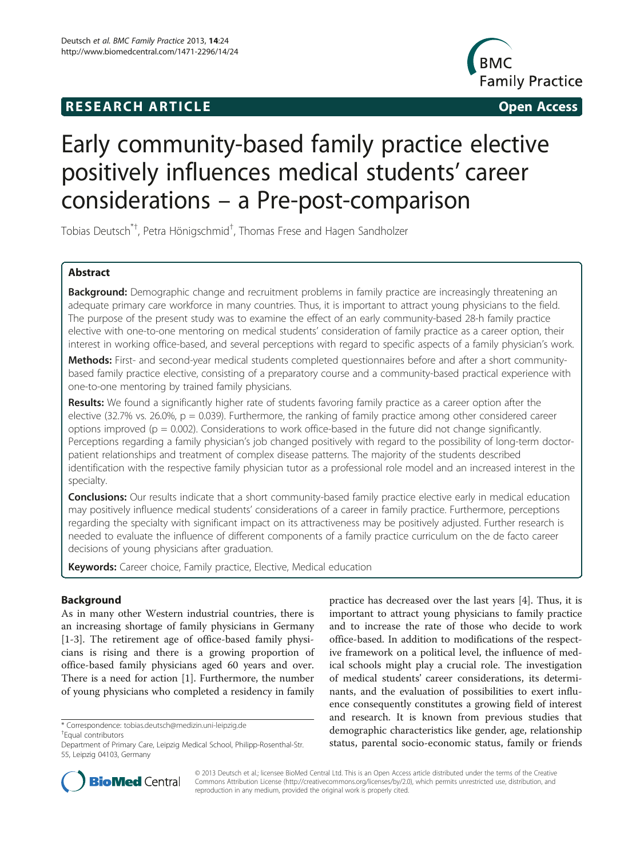# **RESEARCH ARTICLE Example 2018 12:00 Open Access**



# Early community-based family practice elective positively influences medical students' career considerations – a Pre-post-comparison

Tobias Deutsch\*† , Petra Hönigschmid† , Thomas Frese and Hagen Sandholzer

# Abstract

Background: Demographic change and recruitment problems in family practice are increasingly threatening an adequate primary care workforce in many countries. Thus, it is important to attract young physicians to the field. The purpose of the present study was to examine the effect of an early community-based 28-h family practice elective with one-to-one mentoring on medical students' consideration of family practice as a career option, their interest in working office-based, and several perceptions with regard to specific aspects of a family physician's work.

Methods: First- and second-year medical students completed questionnaires before and after a short communitybased family practice elective, consisting of a preparatory course and a community-based practical experience with one-to-one mentoring by trained family physicians.

Results: We found a significantly higher rate of students favoring family practice as a career option after the elective (32.7% vs. 26.0%,  $p = 0.039$ ). Furthermore, the ranking of family practice among other considered career options improved ( $p = 0.002$ ). Considerations to work office-based in the future did not change significantly. Perceptions regarding a family physician's job changed positively with regard to the possibility of long-term doctorpatient relationships and treatment of complex disease patterns. The majority of the students described identification with the respective family physician tutor as a professional role model and an increased interest in the specialty.

**Conclusions:** Our results indicate that a short community-based family practice elective early in medical education may positively influence medical students' considerations of a career in family practice. Furthermore, perceptions regarding the specialty with significant impact on its attractiveness may be positively adjusted. Further research is needed to evaluate the influence of different components of a family practice curriculum on the de facto career decisions of young physicians after graduation.

Keywords: Career choice, Family practice, Elective, Medical education

# Background

As in many other Western industrial countries, there is an increasing shortage of family physicians in Germany [[1-3](#page-4-0)]. The retirement age of office-based family physicians is rising and there is a growing proportion of office-based family physicians aged 60 years and over. There is a need for action [\[1\]](#page-4-0). Furthermore, the number of young physicians who completed a residency in family

Equal contributors

practice has decreased over the last years [[4\]](#page-4-0). Thus, it is important to attract young physicians to family practice and to increase the rate of those who decide to work office-based. In addition to modifications of the respective framework on a political level, the influence of medical schools might play a crucial role. The investigation of medical students' career considerations, its determinants, and the evaluation of possibilities to exert influence consequently constitutes a growing field of interest and research. It is known from previous studies that demographic characteristics like gender, age, relationship status, parental socio-economic status, family or friends



© 2013 Deutsch et al.; licensee BioMed Central Ltd. This is an Open Access article distributed under the terms of the Creative Commons Attribution License [\(http://creativecommons.org/licenses/by/2.0\)](http://creativecommons.org/licenses/by/2.0), which permits unrestricted use, distribution, and reproduction in any medium, provided the original work is properly cited.

<sup>\*</sup> Correspondence: [tobias.deutsch@medizin.uni-leipzig.de](mailto:tobias.deutsch@medizin.uni-leipzig.de) †

Department of Primary Care, Leipzig Medical School, Philipp-Rosenthal-Str. 55, Leipzig 04103, Germany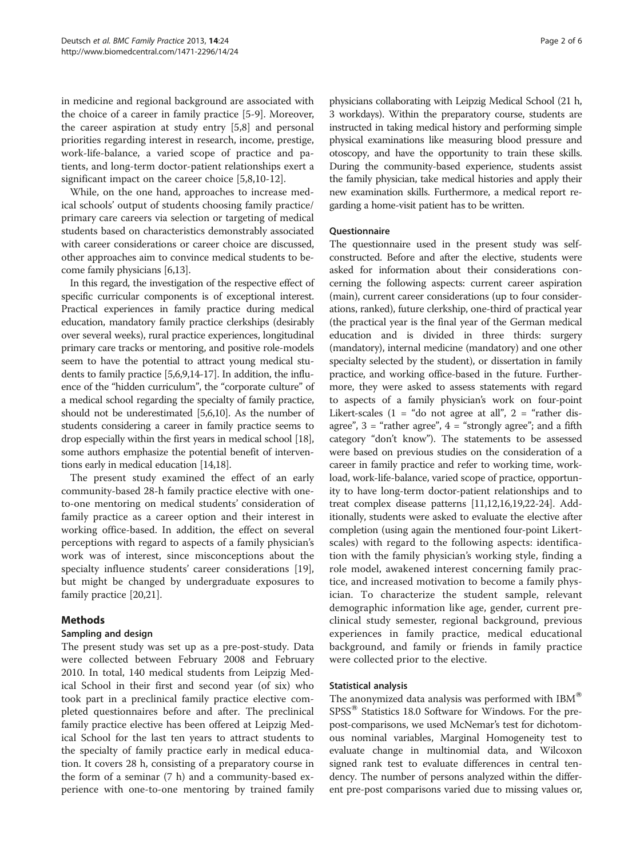in medicine and regional background are associated with the choice of a career in family practice [\[5](#page-4-0)-[9\]](#page-4-0). Moreover, the career aspiration at study entry [[5](#page-4-0),[8\]](#page-4-0) and personal priorities regarding interest in research, income, prestige, work-life-balance, a varied scope of practice and patients, and long-term doctor-patient relationships exert a significant impact on the career choice [[5,8,10-12](#page-4-0)].

While, on the one hand, approaches to increase medical schools' output of students choosing family practice/ primary care careers via selection or targeting of medical students based on characteristics demonstrably associated with career considerations or career choice are discussed, other approaches aim to convince medical students to become family physicians [[6,13](#page-4-0)].

In this regard, the investigation of the respective effect of specific curricular components is of exceptional interest. Practical experiences in family practice during medical education, mandatory family practice clerkships (desirably over several weeks), rural practice experiences, longitudinal primary care tracks or mentoring, and positive role-models seem to have the potential to attract young medical students to family practice [\[5,6,9,14-17\]](#page-4-0). In addition, the influence of the "hidden curriculum", the "corporate culture" of a medical school regarding the specialty of family practice, should not be underestimated [\[5,6,10](#page-4-0)]. As the number of students considering a career in family practice seems to drop especially within the first years in medical school [[18](#page-4-0)], some authors emphasize the potential benefit of interventions early in medical education [\[14,18\]](#page-4-0).

The present study examined the effect of an early community-based 28-h family practice elective with oneto-one mentoring on medical students' consideration of family practice as a career option and their interest in working office-based. In addition, the effect on several perceptions with regard to aspects of a family physician's work was of interest, since misconceptions about the specialty influence students' career considerations [\[19](#page-4-0)], but might be changed by undergraduate exposures to family practice [[20,21\]](#page-4-0).

# Methods

#### Sampling and design

The present study was set up as a pre-post-study. Data were collected between February 2008 and February 2010. In total, 140 medical students from Leipzig Medical School in their first and second year (of six) who took part in a preclinical family practice elective completed questionnaires before and after. The preclinical family practice elective has been offered at Leipzig Medical School for the last ten years to attract students to the specialty of family practice early in medical education. It covers 28 h, consisting of a preparatory course in the form of a seminar (7 h) and a community-based experience with one-to-one mentoring by trained family

physicians collaborating with Leipzig Medical School (21 h, 3 workdays). Within the preparatory course, students are instructed in taking medical history and performing simple physical examinations like measuring blood pressure and otoscopy, and have the opportunity to train these skills. During the community-based experience, students assist the family physician, take medical histories and apply their new examination skills. Furthermore, a medical report regarding a home-visit patient has to be written.

## Questionnaire

The questionnaire used in the present study was selfconstructed. Before and after the elective, students were asked for information about their considerations concerning the following aspects: current career aspiration (main), current career considerations (up to four considerations, ranked), future clerkship, one-third of practical year (the practical year is the final year of the German medical education and is divided in three thirds: surgery (mandatory), internal medicine (mandatory) and one other specialty selected by the student), or dissertation in family practice, and working office-based in the future. Furthermore, they were asked to assess statements with regard to aspects of a family physician's work on four-point Likert-scales (1 = "do not agree at all", 2 = "rather disagree",  $3 =$  "rather agree",  $4 =$  "strongly agree"; and a fifth category "don't know"). The statements to be assessed were based on previous studies on the consideration of a career in family practice and refer to working time, workload, work-life-balance, varied scope of practice, opportunity to have long-term doctor-patient relationships and to treat complex disease patterns [[11,12,16,19](#page-4-0)[,22](#page-5-0)-[24](#page-5-0)]. Additionally, students were asked to evaluate the elective after completion (using again the mentioned four-point Likertscales) with regard to the following aspects: identification with the family physician's working style, finding a role model, awakened interest concerning family practice, and increased motivation to become a family physician. To characterize the student sample, relevant demographic information like age, gender, current preclinical study semester, regional background, previous experiences in family practice, medical educational background, and family or friends in family practice were collected prior to the elective.

#### Statistical analysis

The anonymized data analysis was performed with  $IBM^{\circledast}$ SPSS<sup>®</sup> Statistics 18.0 Software for Windows. For the prepost-comparisons, we used McNemar's test for dichotomous nominal variables, Marginal Homogeneity test to evaluate change in multinomial data, and Wilcoxon signed rank test to evaluate differences in central tendency. The number of persons analyzed within the different pre-post comparisons varied due to missing values or,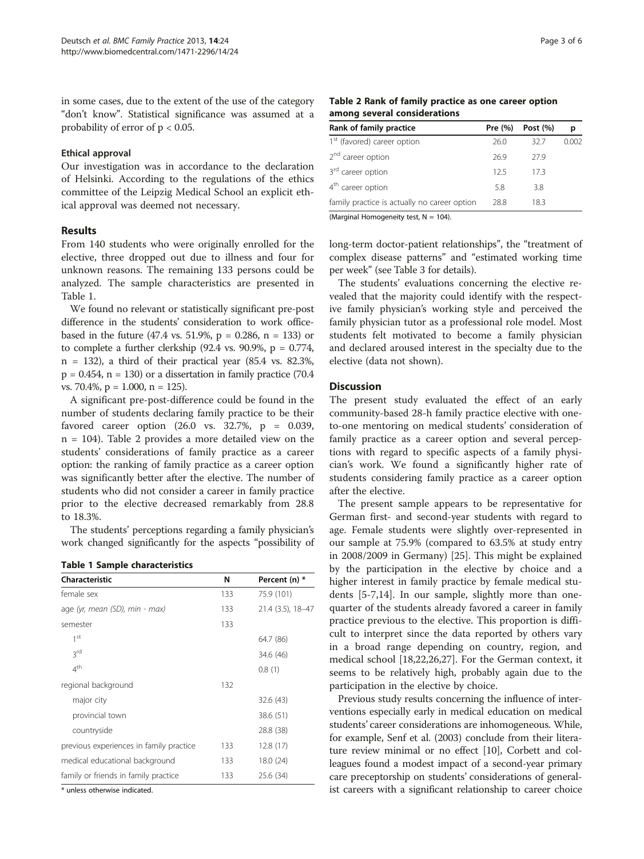in some cases, due to the extent of the use of the category "don't know". Statistical significance was assumed at a probability of error of p < 0.05.

#### Ethical approval

Our investigation was in accordance to the declaration of Helsinki. According to the regulations of the ethics committee of the Leipzig Medical School an explicit ethical approval was deemed not necessary.

#### Results

From 140 students who were originally enrolled for the elective, three dropped out due to illness and four for unknown reasons. The remaining 133 persons could be analyzed. The sample characteristics are presented in Table 1.

We found no relevant or statistically significant pre-post difference in the students' consideration to work officebased in the future (47.4 vs. 51.9%,  $p = 0.286$ ,  $n = 133$ ) or to complete a further clerkship  $(92.4 \text{ vs. } 90.9\% , p = 0.774,$  $n = 132$ ), a third of their practical year (85.4 vs. 82.3%,  $p = 0.454$ ,  $n = 130$ ) or a dissertation in family practice (70.4) vs. 70.4%,  $p = 1.000$ ,  $n = 125$ ).

A significant pre-post-difference could be found in the number of students declaring family practice to be their favored career option (26.0 vs. 32.7%, p = 0.039, n = 104). Table 2 provides a more detailed view on the students' considerations of family practice as a career option: the ranking of family practice as a career option was significantly better after the elective. The number of students who did not consider a career in family practice prior to the elective decreased remarkably from 28.8 to 18.3%.

The students' perceptions regarding a family physician's work changed significantly for the aspects "possibility of

Table 1 Sample characteristics

| Characteristic                          | N   | Percent (n) *     |  |
|-----------------------------------------|-----|-------------------|--|
| female sex                              | 133 | 75.9 (101)        |  |
| age (yr, mean (SD), min - max)          | 133 | 21.4 (3.5), 18–47 |  |
| semester                                | 133 |                   |  |
| 1 <sup>st</sup>                         |     | 64.7 (86)         |  |
| 3rd                                     |     | 34.6 (46)         |  |
| $4^{\text{th}}$                         |     | 0.8(1)            |  |
| regional background                     | 132 |                   |  |
| major city                              |     | 32.6 (43)         |  |
| provincial town                         |     | 38.6 (51)         |  |
| countryside                             |     | 28.8 (38)         |  |
| previous experiences in family practice | 133 | 12.8(17)          |  |
| medical educational background          | 133 | 18.0 (24)         |  |
| family or friends in family practice    | 133 | 25.6 (34)         |  |

\* unless otherwise indicated.

#### Table 2 Rank of family practice as one career option among several considerations

| Rank of family practice                      | Pre (%) | Post (%) | р     |  |
|----------------------------------------------|---------|----------|-------|--|
| 1 <sup>st</sup> (favored) career option      | 26.0    | 32.7     | 0.002 |  |
| 2 <sup>nd</sup> career option                | 26.9    | 27.9     |       |  |
| 3 <sup>rd</sup> career option                | 125     | 173      |       |  |
| 4 <sup>th</sup> career option                | 5.8     | 3.8      |       |  |
| family practice is actually no career option | 28.8    | 18.3     |       |  |

(Marginal Homogeneity test,  $N = 104$ ).

long-term doctor-patient relationships", the "treatment of complex disease patterns" and "estimated working time per week" (see Table [3](#page-3-0) for details).

The students' evaluations concerning the elective revealed that the majority could identify with the respective family physician's working style and perceived the family physician tutor as a professional role model. Most students felt motivated to become a family physician and declared aroused interest in the specialty due to the elective (data not shown).

#### **Discussion**

The present study evaluated the effect of an early community-based 28-h family practice elective with oneto-one mentoring on medical students' consideration of family practice as a career option and several perceptions with regard to specific aspects of a family physician's work. We found a significantly higher rate of students considering family practice as a career option after the elective.

The present sample appears to be representative for German first- and second-year students with regard to age. Female students were slightly over-represented in our sample at 75.9% (compared to 63.5% at study entry in 2008/2009 in Germany) [\[25](#page-5-0)]. This might be explained by the participation in the elective by choice and a higher interest in family practice by female medical students [[5-7,14](#page-4-0)]. In our sample, slightly more than onequarter of the students already favored a career in family practice previous to the elective. This proportion is difficult to interpret since the data reported by others vary in a broad range depending on country, region, and medical school [\[18](#page-4-0)[,22,26,27](#page-5-0)]. For the German context, it seems to be relatively high, probably again due to the participation in the elective by choice.

Previous study results concerning the influence of interventions especially early in medical education on medical students' career considerations are inhomogeneous. While, for example, Senf et al. (2003) conclude from their literature review minimal or no effect [\[10\]](#page-4-0), Corbett and colleagues found a modest impact of a second-year primary care preceptorship on students' considerations of generalist careers with a significant relationship to career choice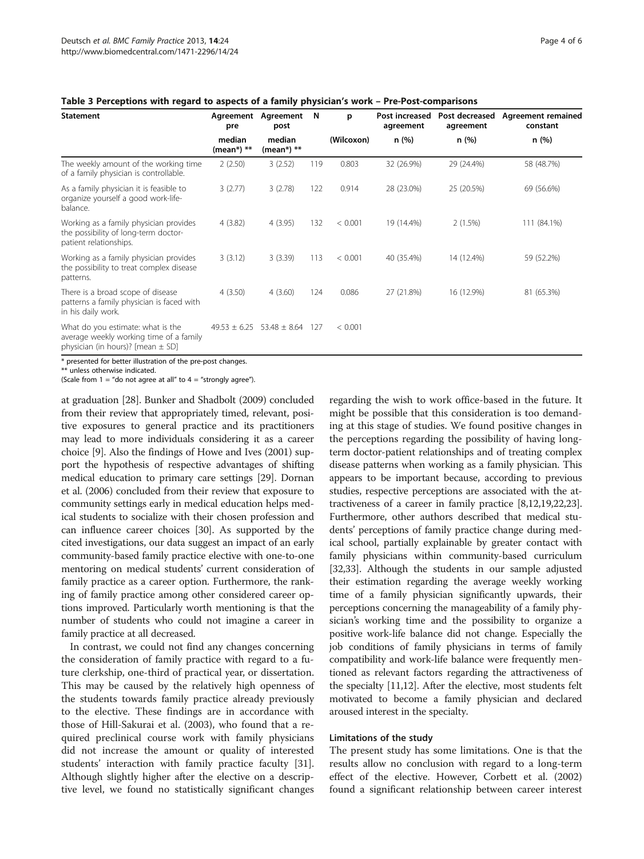| Statement                                                                                                | Agreement<br>pre<br>median<br>(mean*) ** | Agreement<br>post<br>median<br>(mean*) $**$ | N   | p<br>(Wilcoxon) | Post increased<br>agreement<br>n(%) | Post decreased<br>agreement<br>n(%) | Agreement remained<br>constant<br>n (%) |
|----------------------------------------------------------------------------------------------------------|------------------------------------------|---------------------------------------------|-----|-----------------|-------------------------------------|-------------------------------------|-----------------------------------------|
|                                                                                                          |                                          |                                             |     |                 |                                     |                                     |                                         |
| As a family physician it is feasible to<br>organize yourself a good work-life-<br>balance.               | 3(2.77)                                  | 3(2.78)                                     | 122 | 0.914           | 28 (23.0%)                          | 25 (20.5%)                          | 69 (56.6%)                              |
| Working as a family physician provides<br>the possibility of long-term doctor-<br>patient relationships. | 4(3.82)                                  | 4(3.95)                                     | 132 | < 0.001         | 19 (14.4%)                          | 2(1.5%)                             | 111 (84.1%)                             |
| Working as a family physician provides<br>the possibility to treat complex disease<br>patterns.          | 3(3.12)                                  | 3(3.39)                                     | 113 | < 0.001         | 40 (35.4%)                          | 14 (12.4%)                          | 59 (52.2%)                              |
| There is a broad scope of disease<br>patterns a family physician is faced with<br>in his daily work.     | 4(3.50)                                  | 4(3.60)                                     | 124 | 0.086           | 27 (21.8%)                          | 16 (12.9%)                          | 81 (65.3%)                              |

<span id="page-3-0"></span>Table 3 Perceptions with regard to aspects of a family physician's work

 $4953 + 625$  5348 + 864 127 < 0.001

What do you estimate: what is the average weekly working time of a family

physician (in hours)? [mean ± SD]

\* presented for better illustration of the pre-post changes.

\*\* unless otherwise indicated.

bal

pat

pat

 $in h$ 

(Scale from  $1 =$  "do not agree at all" to  $4 =$  "strongly agree").

at graduation [[28\]](#page-5-0). Bunker and Shadbolt (2009) concluded from their review that appropriately timed, relevant, positive exposures to general practice and its practitioners may lead to more individuals considering it as a career choice [\[9](#page-4-0)]. Also the findings of Howe and Ives (2001) support the hypothesis of respective advantages of shifting medical education to primary care settings [\[29\]](#page-5-0). Dornan et al. (2006) concluded from their review that exposure to community settings early in medical education helps medical students to socialize with their chosen profession and can influence career choices [\[30\]](#page-5-0). As supported by the cited investigations, our data suggest an impact of an early community-based family practice elective with one-to-one mentoring on medical students' current consideration of family practice as a career option. Furthermore, the ranking of family practice among other considered career options improved. Particularly worth mentioning is that the number of students who could not imagine a career in family practice at all decreased.

In contrast, we could not find any changes concerning the consideration of family practice with regard to a future clerkship, one-third of practical year, or dissertation. This may be caused by the relatively high openness of the students towards family practice already previously to the elective. These findings are in accordance with those of Hill-Sakurai et al. (2003), who found that a required preclinical course work with family physicians did not increase the amount or quality of interested students' interaction with family practice faculty [\[31](#page-5-0)]. Although slightly higher after the elective on a descriptive level, we found no statistically significant changes

regarding the wish to work office-based in the future. It might be possible that this consideration is too demanding at this stage of studies. We found positive changes in the perceptions regarding the possibility of having longterm doctor-patient relationships and of treating complex disease patterns when working as a family physician. This appears to be important because, according to previous studies, respective perceptions are associated with the attractiveness of a career in family practice [[8,12,19,](#page-4-0)[22,23](#page-5-0)]. Furthermore, other authors described that medical students' perceptions of family practice change during medical school, partially explainable by greater contact with family physicians within community-based curriculum [[32](#page-5-0),[33](#page-5-0)]. Although the students in our sample adjusted their estimation regarding the average weekly working time of a family physician significantly upwards, their perceptions concerning the manageability of a family physician's working time and the possibility to organize a positive work-life balance did not change. Especially the job conditions of family physicians in terms of family compatibility and work-life balance were frequently mentioned as relevant factors regarding the attractiveness of the specialty [\[11,12](#page-4-0)]. After the elective, most students felt motivated to become a family physician and declared aroused interest in the specialty.

#### Limitations of the study

The present study has some limitations. One is that the results allow no conclusion with regard to a long-term effect of the elective. However, Corbett et al. (2002) found a significant relationship between career interest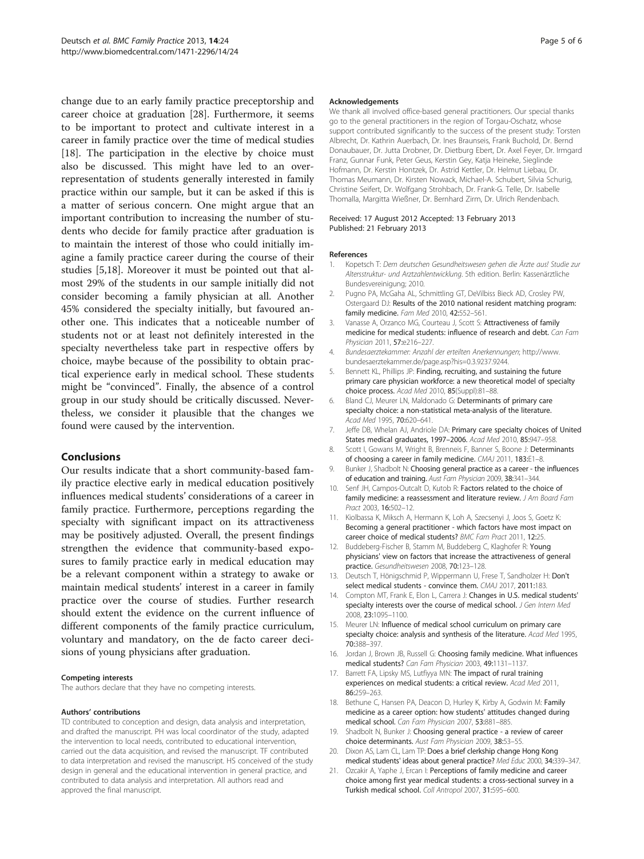<span id="page-4-0"></span>change due to an early family practice preceptorship and career choice at graduation [[28\]](#page-5-0). Furthermore, it seems to be important to protect and cultivate interest in a career in family practice over the time of medical studies [18]. The participation in the elective by choice must also be discussed. This might have led to an overrepresentation of students generally interested in family practice within our sample, but it can be asked if this is a matter of serious concern. One might argue that an important contribution to increasing the number of students who decide for family practice after graduation is to maintain the interest of those who could initially imagine a family practice career during the course of their studies [5,18]. Moreover it must be pointed out that almost 29% of the students in our sample initially did not consider becoming a family physician at all. Another 45% considered the specialty initially, but favoured another one. This indicates that a noticeable number of students not or at least not definitely interested in the specialty nevertheless take part in respective offers by choice, maybe because of the possibility to obtain practical experience early in medical school. These students might be "convinced". Finally, the absence of a control group in our study should be critically discussed. Nevertheless, we consider it plausible that the changes we found were caused by the intervention.

# Conclusions

Our results indicate that a short community-based family practice elective early in medical education positively influences medical students' considerations of a career in family practice. Furthermore, perceptions regarding the specialty with significant impact on its attractiveness may be positively adjusted. Overall, the present findings strengthen the evidence that community-based exposures to family practice early in medical education may be a relevant component within a strategy to awake or maintain medical students' interest in a career in family practice over the course of studies. Further research should extent the evidence on the current influence of different components of the family practice curriculum, voluntary and mandatory, on the de facto career decisions of young physicians after graduation.

#### Competing interests

The authors declare that they have no competing interests.

#### Authors' contributions

TD contributed to conception and design, data analysis and interpretation, and drafted the manuscript. PH was local coordinator of the study, adapted the intervention to local needs, contributed to educational intervention, carried out the data acquisition, and revised the manuscript. TF contributed to data interpretation and revised the manuscript. HS conceived of the study design in general and the educational intervention in general practice, and contributed to data analysis and interpretation. All authors read and approved the final manuscript.

#### Acknowledgements

We thank all involved office-based general practitioners. Our special thanks go to the general practitioners in the region of Torgau-Oschatz, whose support contributed significantly to the success of the present study: Torsten Albrecht, Dr. Kathrin Auerbach, Dr. Ines Braunseis, Frank Buchold, Dr. Bernd Donaubauer, Dr. Jutta Drobner, Dr. Dietburg Ebert, Dr. Axel Feyer, Dr. Irmgard Franz, Gunnar Funk, Peter Geus, Kerstin Gey, Katja Heineke, Sieglinde Hofmann, Dr. Kerstin Hontzek, Dr. Astrid Kettler, Dr. Helmut Liebau, Dr. Thomas Meumann, Dr. Kirsten Nowack, Michael-A. Schubert, Silvia Schurig, Christine Seifert, Dr. Wolfgang Strohbach, Dr. Frank-G. Telle, Dr. Isabelle Thomalla, Margitta Wießner, Dr. Bernhard Zirm, Dr. Ulrich Rendenbach.

#### Received: 17 August 2012 Accepted: 13 February 2013 Published: 21 February 2013

#### References

- 1. Kopetsch T: Dem deutschen Gesundheitswesen gehen die Ärzte aus! Studie zur Altersstruktur- und Arztzahlentwicklung. 5th edition. Berlin: Kassenärztliche Bundesvereinigung; 2010.
- 2. Pugno PA, McGaha AL, Schmittling GT, DeVilbiss Bieck AD, Crosley PW, Ostergaard DJ: Results of the 2010 national resident matching program: family medicine. Fam Med 2010, 42:552–561.
- 3. Vanasse A, Orzanco MG, Courteau J, Scott S: Attractiveness of family medicine for medical students: influence of research and debt. Can Fam Physician 2011, 57:e216–227.
- 4. Bundesaerztekammer: Anzahl der erteilten Anerkennungen; [http://www.](http://www.bundesaerztekammer.de/page.asp?his=0.3.9237.9244) [bundesaerztekammer.de/page.asp?his=0.3.9237.9244.](http://www.bundesaerztekammer.de/page.asp?his=0.3.9237.9244)
- Bennett KL, Phillips JP: Finding, recruiting, and sustaining the future primary care physician workforce: a new theoretical model of specialty choice process. Acad Med 2010, 85(Suppl):81–88.
- 6. Bland CJ, Meurer LN, Maldonado G: Determinants of primary care specialty choice: a non-statistical meta-analysis of the literature. Acad Med 1995, 70:620–641.
- 7. Jeffe DB, Whelan AJ, Andriole DA: Primary care specialty choices of United States medical graduates, 1997–2006. Acad Med 2010, 85:947–958.
- 8. Scott I, Gowans M, Wright B, Brenneis F, Banner S, Boone J: Determinants of choosing a career in family medicine. CMAJ 2011, 183:E1–8.
- 9. Bunker J, Shadbolt N: Choosing general practice as a career the influences of education and training. Aust Fam Physician 2009, 38:341–344.
- 10. Senf JH, Campos-Outcalt D, Kutob R: Factors related to the choice of family medicine: a reassessment and literature review. J Am Board Fam Pract 2003, 16:502–12.
- 11. Kiolbassa K, Miksch A, Hermann K, Loh A, Szecsenyi J, Joos S, Goetz K: Becoming a general practitioner - which factors have most impact on career choice of medical students? BMC Fam Pract 2011, 12:25.
- 12. Buddeberg-Fischer B, Stamm M, Buddeberg C, Klaghofer R: Young physicians' view on factors that increase the attractiveness of general practice. Gesundheitswesen 2008, 70:123–128.
- 13. Deutsch T, Hönigschmid P, Wippermann U, Frese T, Sandholzer H: Don't select medical students - convince them. CMAJ 2017, 2011:183.
- 14. Compton MT, Frank E, Elon L, Carrera J: Changes in U.S. medical students' specialty interests over the course of medical school. J Gen Intern Med 2008, 23:1095–1100.
- 15. Meurer LN: Influence of medical school curriculum on primary care specialty choice: analysis and synthesis of the literature. Acad Med 1995, 70:388–397.
- 16. Jordan J, Brown JB, Russell G: Choosing family medicine. What influences medical students? Can Fam Physician 2003, 49:1131–1137.
- 17. Barrett FA, Lipsky MS, Lutfiyya MN: The impact of rural training experiences on medical students: a critical review. Acad Med 2011, 86:259–263.
- 18. Bethune C, Hansen PA, Deacon D, Hurley K, Kirby A, Godwin M: Family medicine as a career option: how students' attitudes changed during medical school. Can Fam Physician 2007, 53:881–885.
- 19. Shadbolt N, Bunker J: Choosing general practice a review of career choice determinants. Aust Fam Physician 2009, 38:53–55.
- 20. Dixon AS, Lam CL, Lam TP: Does a brief clerkship change Hong Kong medical students' ideas about general practice? Med Educ 2000, 34:339–347.
- 21. Ozcakir A, Yaphe J, Ercan I: Perceptions of family medicine and career choice among first year medical students: a cross-sectional survey in a Turkish medical school. Coll Antropol 2007, 31:595–600.